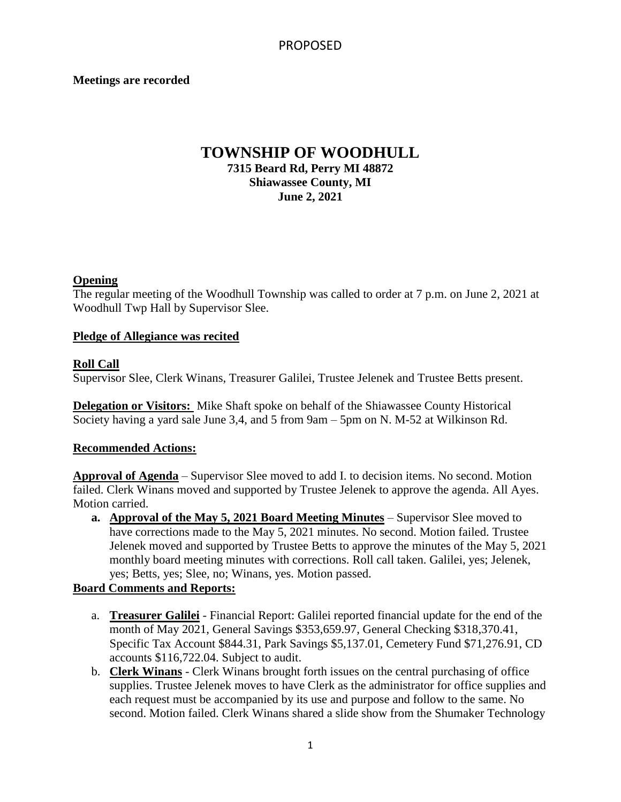### **Meetings are recorded**

## **TOWNSHIP OF WOODHULL 7315 Beard Rd, Perry MI 48872 Shiawassee County, MI June 2, 2021**

#### **Opening**

The regular meeting of the Woodhull Township was called to order at 7 p.m. on June 2, 2021 at Woodhull Twp Hall by Supervisor Slee.

### **Pledge of Allegiance was recited**

### **Roll Call**

Supervisor Slee, Clerk Winans, Treasurer Galilei, Trustee Jelenek and Trustee Betts present.

**Delegation or Visitors:** Mike Shaft spoke on behalf of the Shiawassee County Historical Society having a yard sale June 3,4, and 5 from 9am – 5pm on N. M-52 at Wilkinson Rd.

### **Recommended Actions:**

**Approval of Agenda** – Supervisor Slee moved to add I. to decision items. No second. Motion failed. Clerk Winans moved and supported by Trustee Jelenek to approve the agenda. All Ayes. Motion carried.

**a. Approval of the May 5, 2021 Board Meeting Minutes** – Supervisor Slee moved to have corrections made to the May 5, 2021 minutes. No second. Motion failed. Trustee Jelenek moved and supported by Trustee Betts to approve the minutes of the May 5, 2021 monthly board meeting minutes with corrections. Roll call taken. Galilei, yes; Jelenek, yes; Betts, yes; Slee, no; Winans, yes. Motion passed.

## **Board Comments and Reports:**

- a. **Treasurer Galilei** Financial Report: Galilei reported financial update for the end of the month of May 2021, General Savings \$353,659.97, General Checking \$318,370.41, Specific Tax Account \$844.31, Park Savings \$5,137.01, Cemetery Fund \$71,276.91, CD accounts \$116,722.04. Subject to audit.
- b. **Clerk Winans** Clerk Winans brought forth issues on the central purchasing of office supplies. Trustee Jelenek moves to have Clerk as the administrator for office supplies and each request must be accompanied by its use and purpose and follow to the same. No second. Motion failed. Clerk Winans shared a slide show from the Shumaker Technology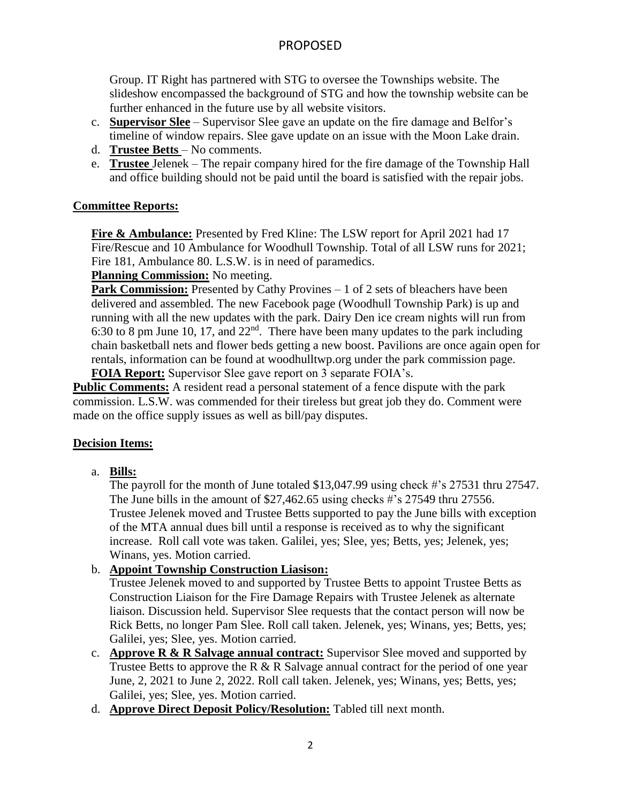# PROPOSED

Group. IT Right has partnered with STG to oversee the Townships website. The slideshow encompassed the background of STG and how the township website can be further enhanced in the future use by all website visitors.

- c. **Supervisor Slee** Supervisor Slee gave an update on the fire damage and Belfor's timeline of window repairs. Slee gave update on an issue with the Moon Lake drain.
- d. **Trustee Betts**  No comments.
- e. **Trustee** Jelenek The repair company hired for the fire damage of the Township Hall and office building should not be paid until the board is satisfied with the repair jobs.

## **Committee Reports:**

**Fire & Ambulance:** Presented by Fred Kline: The LSW report for April 2021 had 17 Fire/Rescue and 10 Ambulance for Woodhull Township. Total of all LSW runs for 2021; Fire 181, Ambulance 80. L.S.W. is in need of paramedics.

**Planning Commission:** No meeting.

**Park Commission:** Presented by Cathy Provines – 1 of 2 sets of bleachers have been delivered and assembled. The new Facebook page (Woodhull Township Park) is up and running with all the new updates with the park. Dairy Den ice cream nights will run from 6:30 to 8 pm June 10, 17, and 22nd. There have been many updates to the park including chain basketball nets and flower beds getting a new boost. Pavilions are once again open for rentals, information can be found at woodhulltwp.org under the park commission page.

**FOIA Report:** Supervisor Slee gave report on 3 separate FOIA's.

**Public Comments:** A resident read a personal statement of a fence dispute with the park commission. L.S.W. was commended for their tireless but great job they do. Comment were made on the office supply issues as well as bill/pay disputes.

## **Decision Items:**

a. **Bills:**

The payroll for the month of June totaled \$13,047.99 using check #'s 27531 thru 27547. The June bills in the amount of \$27,462.65 using checks #'s 27549 thru 27556. Trustee Jelenek moved and Trustee Betts supported to pay the June bills with exception of the MTA annual dues bill until a response is received as to why the significant increase. Roll call vote was taken. Galilei, yes; Slee, yes; Betts, yes; Jelenek, yes; Winans, yes. Motion carried.

## b. **Appoint Township Construction Liasison:**

Trustee Jelenek moved to and supported by Trustee Betts to appoint Trustee Betts as Construction Liaison for the Fire Damage Repairs with Trustee Jelenek as alternate liaison. Discussion held. Supervisor Slee requests that the contact person will now be Rick Betts, no longer Pam Slee. Roll call taken. Jelenek, yes; Winans, yes; Betts, yes; Galilei, yes; Slee, yes. Motion carried.

- c. **Approve R & R Salvage annual contract:** Supervisor Slee moved and supported by Trustee Betts to approve the R  $\&$  R Salvage annual contract for the period of one year June, 2, 2021 to June 2, 2022. Roll call taken. Jelenek, yes; Winans, yes; Betts, yes; Galilei, yes; Slee, yes. Motion carried.
- d. **Approve Direct Deposit Policy/Resolution:** Tabled till next month.